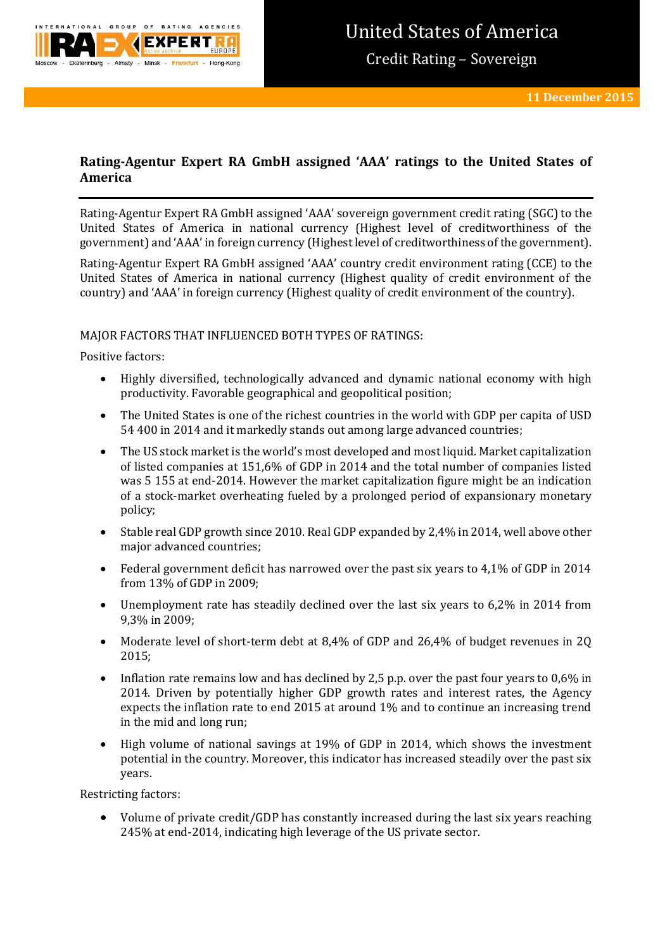

# **Rating-Agentur Expert RA GmbH assigned 'AAA' ratings to the United States of America**

Rating-Agentur Expert RA GmbH assigned 'AAA' sovereign government credit rating (SGC) to the United States of America in national currency (Highest level of creditworthiness of the government) and 'AAA' in foreign currency (Highest level of creditworthiness of the government).

Rating-Agentur Expert RA GmbH assigned 'AAA' country credit environment rating (CCE) to the United States of America in national currency (Highest quality of credit environment of the country) and 'AAA' in foreign currency (Highest quality of credit environment of the country).

## MAJOR FACTORS THAT INFLUENCED BOTH TYPES OF RATINGS:

Positive factors:

- Highly diversified, technologically advanced and dynamic national economy with high productivity. Favorable geographical and geopolitical position;
- The United States is one of the richest countries in the world with GDP per capita of USD 54 400 in 2014 and it markedly stands out among large advanced countries;
- The US stock market is the world's most developed and most liquid. Market capitalization of listed companies at 151,6% of GDP in 2014 and the total number of companies listed was 5 155 at end-2014. However the market capitalization figure might be an indication of a stock-market overheating fueled by a prolonged period of expansionary monetary policy;
- Stable real GDP growth since 2010. Real GDP expanded by 2,4% in 2014, well above other major advanced countries;
- Federal government deficit has narrowed over the past six years to 4,1% of GDP in 2014 from 13% of GDP in 2009;
- Unemployment rate has steadily declined over the last six years to 6,2% in 2014 from 9,3% in 2009;
- Moderate level of short-term debt at 8,4% of GDP and 26,4% of budget revenues in 2Q 2015;
- Inflation rate remains low and has declined by 2,5 p.p. over the past four years to 0,6% in 2014. Driven by potentially higher GDP growth rates and interest rates, the Agency expects the inflation rate to end 2015 at around 1% and to continue an increasing trend in the mid and long run;
- High volume of national savings at 19% of GDP in 2014, which shows the investment potential in the country. Moreover, this indicator has increased steadily over the past six years.

Restricting factors:

 Volume of private credit/GDP has constantly increased during the last six years reaching 245% at end-2014, indicating high leverage of the US private sector.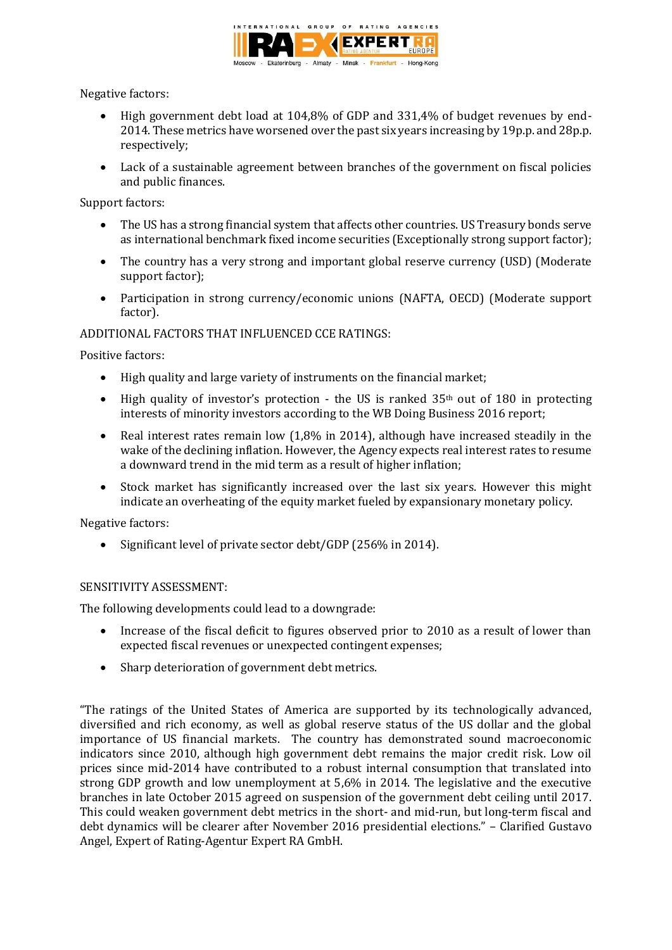

Negative factors:

- High government debt load at 104,8% of GDP and 331,4% of budget revenues by end-2014. These metrics have worsened over the past six years increasing by 19p.p. and 28p.p. respectively;
- Lack of a sustainable agreement between branches of the government on fiscal policies and public finances.

Support factors:

- The US has a strong financial system that affects other countries. US Treasury bonds serve as international benchmark fixed income securities (Exceptionally strong support factor);
- The country has a very strong and important global reserve currency (USD) (Moderate support factor);
- Participation in strong currency/economic unions (NAFTA, OECD) (Moderate support factor).

## ADDITIONAL FACTORS THAT INFLUENCED CCE RATINGS:

Positive factors:

- High quality and large variety of instruments on the financial market;
- $\bullet$  High quality of investor's protection the US is ranked 35<sup>th</sup> out of 180 in protecting interests of minority investors according to the WB Doing Business 2016 report;
- Real interest rates remain low (1,8% in 2014), although have increased steadily in the wake of the declining inflation. However, the Agency expects real interest rates to resume a downward trend in the mid term as a result of higher inflation;
- Stock market has significantly increased over the last six years. However this might indicate an overheating of the equity market fueled by expansionary monetary policy.

Negative factors:

• Significant level of private sector debt/GDP (256% in 2014).

## SENSITIVITY ASSESSMENT:

The following developments could lead to a downgrade:

- Increase of the fiscal deficit to figures observed prior to 2010 as a result of lower than expected fiscal revenues or unexpected contingent expenses;
- Sharp deterioration of government debt metrics.

"The ratings of the United States of America are supported by its technologically advanced, diversified and rich economy, as well as global reserve status of the US dollar and the global importance of US financial markets. The country has demonstrated sound macroeconomic indicators since 2010, although high government debt remains the major credit risk. Low oil prices since mid-2014 have contributed to a robust internal consumption that translated into strong GDP growth and low unemployment at 5,6% in 2014. The legislative and the executive branches in late October 2015 agreed on suspension of the government debt ceiling until 2017. This could weaken government debt metrics in the short- and mid-run, but long-term fiscal and debt dynamics will be clearer after November 2016 presidential elections." – Clarified Gustavo Angel, Expert of Rating-Agentur Expert RA GmbH.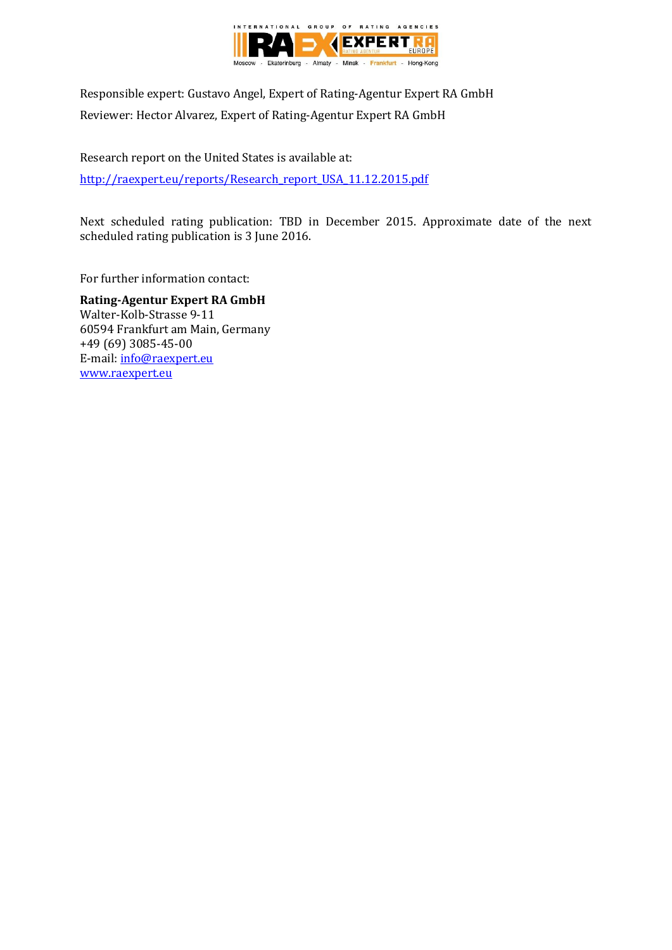

Responsible expert: Gustavo Angel, Expert of Rating-Agentur Expert RA GmbH Reviewer: Hector Alvarez, Expert of Rating-Agentur Expert RA GmbH

Research report on the United States is available at: [http://raexpert.eu/reports/Research\\_report\\_USA\\_11.12.2015.pdf](http://raexpert.eu/reports/Research_report_USA_11.12.2015.pdf)

Next scheduled rating publication: TBD in December 2015. Approximate date of the next scheduled rating publication is 3 June 2016.

For further information contact:

**Rating-Agentur Expert RA GmbH** Walter-Kolb-Strasse 9-11 60594 Frankfurt am Main, Germany +49 (69) 3085-45-00 E-mail[: info@raexpert.eu](mailto:info@raexpert.eu) [www.raexpert.eu](http://raexpert.eu/)